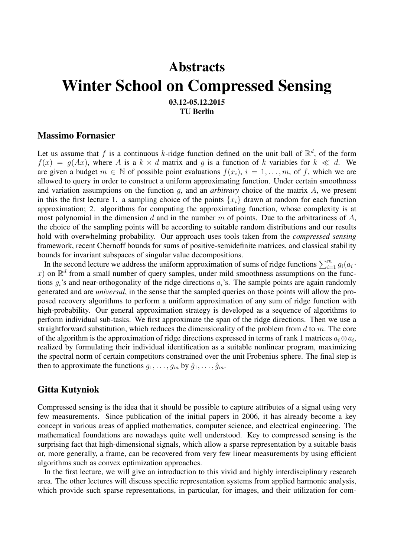# **Abstracts** Winter School on Compressed Sensing 03.12-05.12.2015

TU Berlin

### Massimo Fornasier

Let us assume that f is a continuous k-ridge function defined on the unit ball of  $\mathbb{R}^d$ , of the form  $f(x) = g(Ax)$ , where A is a  $k \times d$  matrix and g is a function of k variables for  $k \ll d$ . We are given a budget  $m \in \mathbb{N}$  of possible point evaluations  $f(x_i)$ ,  $i = 1, \ldots, m$ , of f, which we are allowed to query in order to construct a uniform approximating function. Under certain smoothness and variation assumptions on the function g, and an *arbitrary* choice of the matrix A, we present in this the first lecture 1. a sampling choice of the points  $\{x_i\}$  drawn at random for each function approximation; 2. algorithms for computing the approximating function, whose complexity is at most polynomial in the dimension  $d$  and in the number  $m$  of points. Due to the arbitrariness of  $A$ , the choice of the sampling points will be according to suitable random distributions and our results hold with overwhelming probability. Our approach uses tools taken from the *compressed sensing* framework, recent Chernoff bounds for sums of positive-semidefinite matrices, and classical stability bounds for invariant subspaces of singular value decompositions.

In the second lecture we address the uniform approximation of sums of ridge functions  $\sum_{i=1}^{m} g_i(a_i - a_i)$ x) on  $\mathbb{R}^d$  from a small number of query samples, under mild smoothness assumptions on the functions  $g_i$ 's and near-orthogonality of the ridge directions  $a_i$ 's. The sample points are again randomly generated and are *universal*, in the sense that the sampled queries on those points will allow the proposed recovery algorithms to perform a uniform approximation of any sum of ridge function with high-probability. Our general approximation strategy is developed as a sequence of algorithms to perform individual sub-tasks. We first approximate the span of the ridge directions. Then we use a straightforward substitution, which reduces the dimensionality of the problem from  $d$  to  $m$ . The core of the algorithm is the approximation of ridge directions expressed in terms of rank 1 matrices  $a_i \otimes a_i$ , realized by formulating their individual identification as a suitable nonlinear program, maximizing the spectral norm of certain competitors constrained over the unit Frobenius sphere. The final step is then to approximate the functions  $q_1, \ldots, q_m$  by  $\hat{q}_1, \ldots, \hat{q}_m$ .

### Gitta Kutyniok

Compressed sensing is the idea that it should be possible to capture attributes of a signal using very few measurements. Since publication of the initial papers in 2006, it has already become a key concept in various areas of applied mathematics, computer science, and electrical engineering. The mathematical foundations are nowadays quite well understood. Key to compressed sensing is the surprising fact that high-dimensional signals, which allow a sparse representation by a suitable basis or, more generally, a frame, can be recovered from very few linear measurements by using efficient algorithms such as convex optimization approaches.

In the first lecture, we will give an introduction to this vivid and highly interdisciplinary research area. The other lectures will discuss specific representation systems from applied harmonic analysis, which provide such sparse representations, in particular, for images, and their utilization for com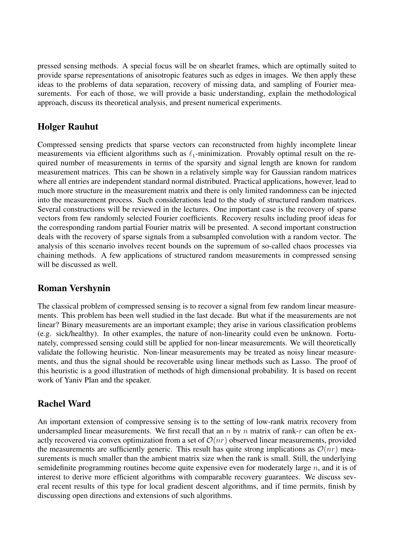pressed sensing methods. A special focus will be on shearlet frames, which are optimally suited to provide sparse representations of anisotropic features such as edges in images. We then apply these ideas to the problems of data separation, recovery of missing data, and sampling of Fourier measurements. For each of those, we will provide a basic understanding, explain the methodological approach, discuss its theoretical analysis, and present numerical experiments.

## Holger Rauhut

Compressed sensing predicts that sparse vectors can reconstructed from highly incomplete linear measurements via efficient algorithms such as  $\ell_1$ -minimization. Provably optimal result on the required number of measurements in terms of the sparsity and signal length are known for random measurement matrices. This can be shown in a relatively simple way for Gaussian random matrices where all entries are independent standard normal distributed. Practical applications, however, lead to much more structure in the measurement matrix and there is only limited randomness can be injected into the measurement process. Such considerations lead to the study of structured random matrices. Several constructions will be reviewed in the lectures. One important case is the recovery of sparse vectors from few randomly selected Fourier coefficients. Recovery results including proof ideas for the corresponding random partial Fourier matrix will be presented. A second important construction deals with the recovery of sparse signals from a subsampled convolution with a random vector. The analysis of this scenario involves recent bounds on the supremum of so-called chaos processes via chaining methods. A few applications of structured random measurements in compressed sensing will be discussed as well.

### Roman Vershynin

The classical problem of compressed sensing is to recover a signal from few random linear measurements. This problem has been well studied in the last decade. But what if the measurements are not linear? Binary measurements are an important example; they arise in various classification problems (e.g. sick/healthy). In other examples, the nature of non-linearity could even be unknown. Fortunately, compressed sensing could still be applied for non-linear measurements. We will theoretically validate the following heuristic. Non-linear measurements may be treated as noisy linear measurements, and thus the signal should be recoverable using linear methods such as Lasso. The proof of this heuristic is a good illustration of methods of high dimensional probability. It is based on recent work of Yaniv Plan and the speaker.

# Rachel Ward

An important extension of compressive sensing is to the setting of low-rank matrix recovery from undersampled linear measurements. We first recall that an  $n$  by  $n$  matrix of rank- $r$  can often be exactly recovered via convex optimization from a set of  $\mathcal{O}(nr)$  observed linear measurements, provided the measurements are sufficiently generic. This result has quite strong implications as  $\mathcal{O}(nr)$  measurements is much smaller than the ambient matrix size when the rank is small. Still, the underlying semidefinite programming routines become quite expensive even for moderately large  $n$ , and it is of interest to derive more efficient algorithms with comparable recovery guarantees. We discuss several recent results of this type for local gradient descent algorithms, and if time permits, finish by discussing open directions and extensions of such algorithms.